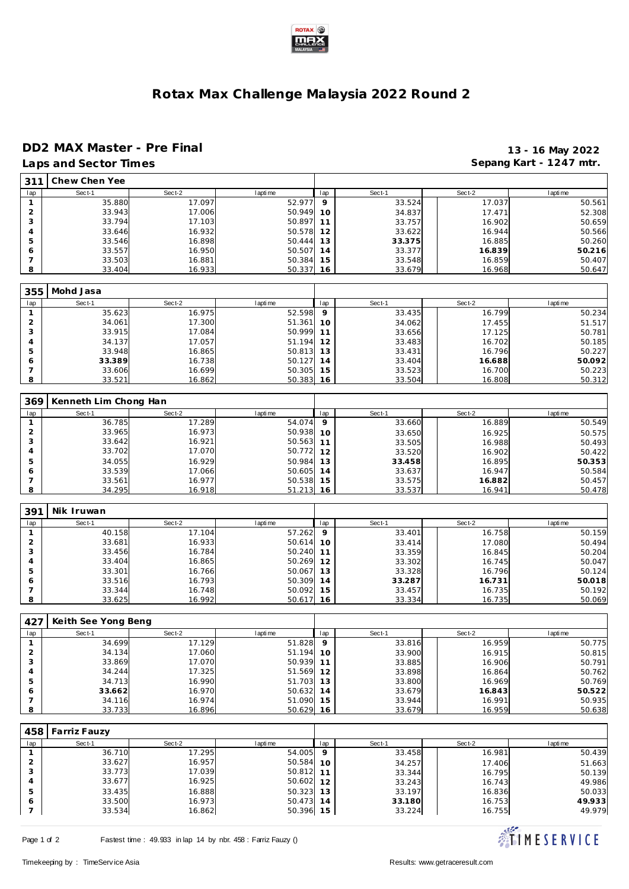

## **Rotax Max Challenge Malaysia 2022 Round 2**

## **DD2 MAX Master - Pre Final 13 - 16 May 2022**

|                | Laps and Sector Times |           |           |     |        |           | Sepang Kart - 1247 mtr. |
|----------------|-----------------------|-----------|-----------|-----|--------|-----------|-------------------------|
| 311            | Chew Chen Yee         |           |           |     |        |           |                         |
| lap            | Sect-1                | Sect-2    | I apti me | lap | Sect-1 | Sect-2    | I apti me               |
| $\mathbf{1}$   | 35.880                | 17.097    | 52.977    | 9   | 33.524 | 17.037    | 50.561                  |
| $\overline{2}$ | 33.943                | 17.006    | 50.949    | 10  | 34.837 | 17.471    | 52.308                  |
| 3              | 33.794                | 17.103    | 50.897    | 11  | 33.757 | 16.902    | 50.659                  |
| 4              | 33.646                | 16.932    | 50.578    | 12  | 33.622 | 16.944    |                         |
|                |                       |           |           |     |        |           | 50.566                  |
| 5              | 33.546                | 16.898    | 50.444    | 13  | 33.375 | 16.885    | 50.260                  |
| 6              | 33.557                | 16.950    | 50.507    | 14  | 33.377 | 16.839    | 50.216                  |
| 7              | 33.503                | 16.881    | 50.384    | 15  | 33.548 | 16.859    | 50.407                  |
| 8              | 33.404                | 16.933    | 50.337    | 16  | 33.679 | 16.968    | 50.647                  |
| 355            | Mohd Jasa             |           |           |     |        |           |                         |
| lap            | Sect-1                | Sect-2    | I apti me | lap | Sect-1 | Sect-2    | I apti me               |
| $\mathbf{1}$   | 35.623                | 16.975    | 52.598    | 9   | 33.435 | 16.799    | 50.234                  |
| $\overline{2}$ | 34.061                | 17.300    | 51.361    | 10  | 34.062 | 17.455    | 51.517                  |
| 3              | 33.915                | 17.084    | 50.999    | 11  | 33.656 |           | 50.781                  |
|                |                       |           |           |     |        | 17.125    |                         |
| 4              | 34.137                | 17.057    | 51.194    | 12  | 33.483 | 16.702    | 50.185                  |
| 5              | 33.948                | 16.865    | 50.813    | 13  | 33.431 | 16.796    | 50.227                  |
| 6              | 33.389                | 16.738    | 50.127    | 14  | 33.404 | 16.688    | 50.092                  |
| 7              | 33.606                | 16.699    | 50.305    | 15  | 33.523 | 16.700    | 50.223                  |
| 8              | 33.521                | 16.862    | 50.383    | 16  | 33.504 | 16.808    | 50.312                  |
| 369            | Kenneth Lim Chong Han |           |           |     |        |           |                         |
| lap            | Sect-1                | Sect-2    | I apti me | lap | Sect-1 | Sect-2    | I apti me               |
| $\mathbf{1}$   | 36.785                | 17.289    | 54.074    | 9   | 33.660 | 16.889    | 50.549                  |
| $\overline{2}$ | 33.965                | 16.973    | 50.938    | 10  | 33.650 | 16.925    | 50.575                  |
| 3              | 33.642                | 16.921    | 50.563    |     |        |           |                         |
| 4              | 33.702                | 17.070    | 50.772    | 11  | 33.505 | 16.988    | 50.493                  |
|                |                       |           |           | 12  | 33.520 | 16.902    | 50.422                  |
| 5              | 34.055                | 16.929    | 50.984    | 13  | 33.458 | 16.895    | 50.353                  |
| 6              | 33.539                | 17.066    | 50.605    | 14  | 33.637 | 16.947    | 50.584                  |
| 7              | 33.561                | 16.977    | 50.538    | 15  | 33.575 | 16.882    | 50.457                  |
| 8              | 34.295                | 16.918    | 51.213    | 16  | 33.537 | 16.941    | 50.478                  |
| 391            | Nik Iruwan            |           |           |     |        |           |                         |
|                |                       |           |           |     |        |           |                         |
| lap            | Sect-1                | Sect-2    | I apti me | lap | Sect-1 | Sect-2    | I apti me               |
| $\mathbf{1}$   | 40.158                | 17.104    | 57.262    | 9   | 33.401 | 16.758    | 50.159                  |
| $\overline{2}$ | 33.681                | 16.933    | 50.614    | 10  | 33.414 | 17.080    | 50.494                  |
| 3              | 33.456                | 16.784    | 50.240    | 11  | 33.359 | 16.845    | 50.204                  |
| 4              | 33.404                | 16.865    | 50.269    | 12  | 33.302 | 16.745    | 50.047                  |
| 5              | 33.301                | 16.766    | 50.067    | 13  | 33.328 | 16.796    | 50.124                  |
| 6              | 33.516                | 16.793    | 50.309    | 14  | 33.287 | 16.731    | 50.018                  |
| $\overline{7}$ | 33.344                | 16.748    | 50.092    | 15  | 33.457 | 16.735    | 50.192                  |
| 8              | 33.625                | 16.992    | 50.617    | 16  | 33.334 | 16.735    | 50.069                  |
|                |                       |           |           |     |        |           |                         |
| 427            | Keith See Yong Beng   |           |           |     |        |           |                         |
| lap            | $Sort-1$              | $Sor + 2$ | l anti me | In  | Sect-1 | $Ser + 2$ | I apti me               |
| $\mathbf{1}$   | 34.699                | 17.129    | 51.828    | 9   | 33.816 | 16.959    | 50.775                  |
| $\overline{c}$ | 34.134                | 17.060    | 51.194    | 10  | 33.900 | 16.915    | 50.815                  |
| 3              | 33.869                | 17.070    | 50.939    | 11  | 33.885 | 16.906    | 50.791                  |
| 4              | 34.244                | 17.325    | 51.569    | 12  | 33.898 | 16.864    | 50.762                  |
| 5              | 34.713                | 16.990    | 51.703    | 13  | 33.800 | 16.969    | 50.769                  |
| 6              | 33.662                | 16.970    | 50.632    | 14  | 33.679 | 16.843    | 50.522                  |
| 7              | 34.116                | 16.974    | 51.090    | 15  | 33.944 | 16.991    | 50.935                  |
| 8              | 33.733                | 16.896    | 50.629    | 16  | 33.679 | 16.959    | 50.638                  |
|                |                       |           |           |     |        |           |                         |
| 458            | Farriz Fauzy          |           |           |     |        |           |                         |
| lap            | Sect-1                | Sect-2    | I apti me | lap | Sect-1 | Sect-2    | I apti me               |
| $\mathbf{1}$   | 36.710                | 17.295    | 54.005    | 9   | 33.458 | 16.981    | 50.439                  |
| $\overline{2}$ | 33.627                | 16.957    | 50.584    | 10  | 34.257 | 17.406    | 51.663                  |
| 3              | 33.773                | 17.039    | 50.812    | 11  | 33.344 | 16.795    | 50.139                  |
| 4              | 33.677                | 16.925    | 50.602    | 12  | 33.243 | 16.743    | 49.986                  |
|                |                       |           |           |     |        |           |                         |
| 5              | 33.435                | 16.888    | 50.323    | 13  | 33.197 | 16.836    | 50.033                  |
| 6              | 33.500                | 16.973    | 50.473 14 |     | 33.180 | 16.753    | 49.933                  |



**16.862** 50.396

33.224 16.755 49.979